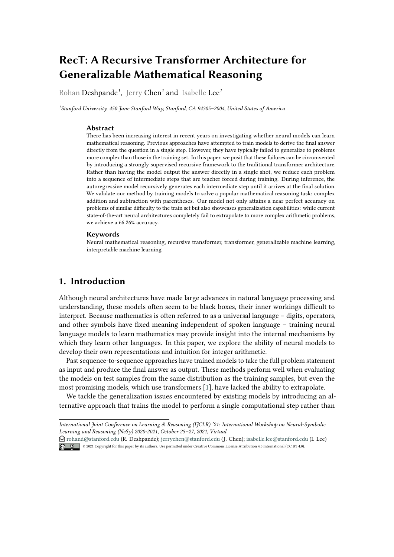# **RecT: A Recursive Transformer Architecture for Generalizable Mathematical Reasoning**

Rohan Deshpande*<sup>1</sup>* , Jerry Chen*<sup>1</sup>* and Isabelle Lee*<sup>1</sup>*

*1 Stanford University, 450 Jane Stanford Way, Stanford, CA 94305–2004, United States of America*

#### **Abstract**

There has been increasing interest in recent years on investigating whether neural models can learn mathematical reasoning. Previous approaches have attempted to train models to derive the final answer directly from the question in a single step. However, they have typically failed to generalize to problems more complex than those in the training set. In this paper, we posit that these failures can be circumvented by introducing a strongly supervised recursive framework to the traditional transformer architecture. Rather than having the model output the answer directly in a single shot, we reduce each problem into a sequence of intermediate steps that are teacher forced during training. During inference, the autoregressive model recursively generates each intermediate step until it arrives at the final solution. We validate our method by training models to solve a popular mathematical reasoning task: complex addition and subtraction with parentheses. Our model not only attains a near perfect accuracy on problems of similar difficulty to the train set but also showcases generalization capabilities: while current state-of-the-art neural architectures completely fail to extrapolate to more complex arithmetic problems, we achieve a 66.26% accuracy.

#### **Keywords**

Neural mathematical reasoning, recursive transformer, transformer, generalizable machine learning, interpretable machine learning

# **1. Introduction**

Although neural architectures have made large advances in natural language processing and understanding, these models often seem to be black boxes, their inner workings difficult to interpret. Because mathematics is often referred to as a universal language – digits, operators, and other symbols have fixed meaning independent of spoken language – training neural language models to learn mathematics may provide insight into the internal mechanisms by which they learn other languages. In this paper, we explore the ability of neural models to develop their own representations and intuition for integer arithmetic.

Past sequence-to-sequence approaches have trained models to take the full problem statement as input and produce the final answer as output. These methods perform well when evaluating the models on test samples from the same distribution as the training samples, but even the most promising models, which use transformers [\[1\]](#page-10-0), have lacked the ability to extrapolate.

We tackle the generalization issues encountered by existing models by introducing an alternative approach that trains the model to perform a single computational step rather than

*International Joint Conference on Learning & Reasoning (IJCLR) '21: International Workshop on Neural-Symbolic Learning and Reasoning (NeSy) 2020-2021, October 25–27, 2021, Virtual*

© 2021 Copyright for this paper by its authors. Use permitted under Creative Commons License Attribution 4.0 International (CC BY 4.0).

 $\odot$ [rohand@stanford.edu](mailto:rohand@stanford.edu) (R. Deshpande); [jerrychen@stanford.edu](mailto:jerrychen@stanford.edu) (J. Chen); [isabelle.lee@stanford.edu](mailto:isabelle.lee@stanford.edu) (I. Lee)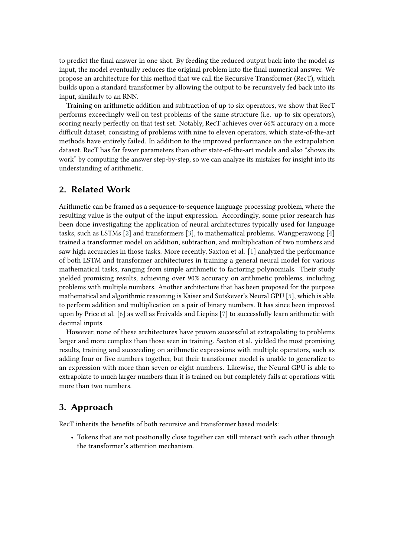to predict the final answer in one shot. By feeding the reduced output back into the model as input, the model eventually reduces the original problem into the final numerical answer. We propose an architecture for this method that we call the Recursive Transformer (RecT), which builds upon a standard transformer by allowing the output to be recursively fed back into its input, similarly to an RNN.

Training on arithmetic addition and subtraction of up to six operators, we show that RecT performs exceedingly well on test problems of the same structure (i.e. up to six operators), scoring nearly perfectly on that test set. Notably, RecT achieves over 66% accuracy on a more difficult dataset, consisting of problems with nine to eleven operators, which state-of-the-art methods have entirely failed. In addition to the improved performance on the extrapolation dataset, RecT has far fewer parameters than other state-of-the-art models and also "shows its work" by computing the answer step-by-step, so we can analyze its mistakes for insight into its understanding of arithmetic.

### **2. Related Work**

Arithmetic can be framed as a sequence-to-sequence language processing problem, where the resulting value is the output of the input expression. Accordingly, some prior research has been done investigating the application of neural architectures typically used for language tasks, such as LSTMs [\[2\]](#page-10-1) and transformers [\[3\]](#page-10-2), to mathematical problems. Wangperawong [\[4\]](#page-10-3) trained a transformer model on addition, subtraction, and multiplication of two numbers and saw high accuracies in those tasks. More recently, Saxton et al. [\[1\]](#page-10-0) analyzed the performance of both LSTM and transformer architectures in training a general neural model for various mathematical tasks, ranging from simple arithmetic to factoring polynomials. Their study yielded promising results, achieving over 90% accuracy on arithmetic problems, including problems with multiple numbers. Another architecture that has been proposed for the purpose mathematical and algorithmic reasoning is Kaiser and Sutskever's Neural GPU [\[5\]](#page-10-4), which is able to perform addition and multiplication on a pair of binary numbers. It has since been improved upon by Price et al. [\[6\]](#page-10-5) as well as Freivalds and Liepins [\[7\]](#page-10-6) to successfully learn arithmetic with decimal inputs.

However, none of these architectures have proven successful at extrapolating to problems larger and more complex than those seen in training. Saxton et al. yielded the most promising results, training and succeeding on arithmetic expressions with multiple operators, such as adding four or five numbers together, but their transformer model is unable to generalize to an expression with more than seven or eight numbers. Likewise, the Neural GPU is able to extrapolate to much larger numbers than it is trained on but completely fails at operations with more than two numbers.

# **3. Approach**

RecT inherits the benefits of both recursive and transformer based models:

• Tokens that are not positionally close together can still interact with each other through the transformer's attention mechanism.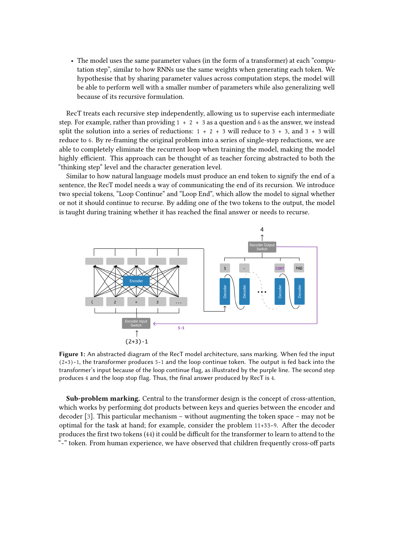• The model uses the same parameter values (in the form of a transformer) at each "computation step", similar to how RNNs use the same weights when generating each token. We hypothesise that by sharing parameter values across computation steps, the model will be able to perform well with a smaller number of parameters while also generalizing well because of its recursive formulation.

RecT treats each recursive step independently, allowing us to supervise each intermediate step. For example, rather than providing  $1 + 2 + 3$  as a question and 6 as the answer, we instead split the solution into a series of reductions:  $1 + 2 + 3$  will reduce to  $3 + 3$ , and  $3 + 3$  will reduce to <sup>6</sup> . By re-framing the original problem into a series of single-step reductions, we are able to completely eliminate the recurrent loop when training the model, making the model highly efficient. This approach can be thought of as teacher forcing abstracted to both the "thinking step" level and the character generation level.

Similar to how natural language models must produce an end token to signify the end of a sentence, the RecT model needs a way of communicating the end of its recursion. We introduce two special tokens, "Loop Continue" and "Loop End", which allow the model to signal whether or not it should continue to recurse. By adding one of the two tokens to the output, the model is taught during training whether it has reached the final answer or needs to recurse.



**Figure 1:** An abstracted diagram of the RecT model architecture, sans marking. When fed the input  $(2+3)$ -1, the transformer produces 5-1 and the loop continue token. The output is fed back into the transformer's input because of the loop continue flag, as illustrated by the purple line. The second step produces <sup>4</sup> and the loop stop flag. Thus, the final answer produced by RecT is <sup>4</sup> .

**Sub-problem marking.** Central to the transformer design is the concept of cross-attention, which works by performing dot products between keys and queries between the encoder and decoder [\[3\]](#page-10-2). This particular mechanism – without augmenting the token space – may not be optimal for the task at hand; for example, consider the problem 11+33-9. After the decoder produces the first two tokens (44) it could be difficult for the transformer to learn to attend to the "- " token. From human experience, we have observed that children frequently cross-off parts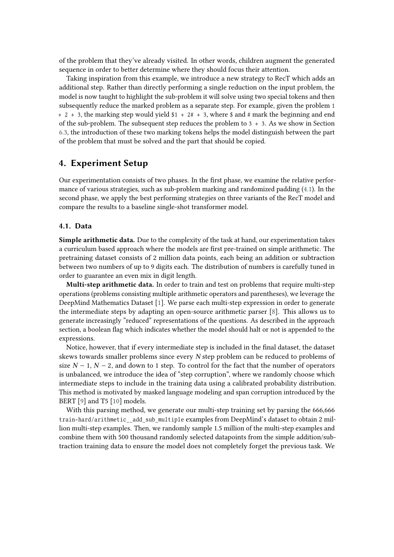of the problem that they've already visited. In other words, children augment the generated sequence in order to better determine where they should focus their attention.

Taking inspiration from this example, we introduce a new strategy to RecT which adds an additional step. Rather than directly performing a single reduction on the input problem, the model is now taught to highlight the sub-problem it will solve using two special tokens and then subsequently reduce the marked problem as a separate step. For example, given the problem <sup>1</sup>  $+ 2 + 3$ , the marking step would yield  $$1 + 2# + 3$ , where  $$$  and  $#$  mark the beginning and end of the sub-problem. The subsequent step reduces the problem to  $3 + 3$ . As we show in Section [6.3,](#page-7-0) the introduction of these two marking tokens helps the model distinguish between the part of the problem that must be solved and the part that should be copied.

### **4. Experiment Setup**

Our experimentation consists of two phases. In the first phase, we examine the relative performance of various strategies, such as sub-problem marking and randomized padding [\(4.1\)](#page-3-0). In the second phase, we apply the best performing strategies on three variants of the RecT model and compare the results to a baseline single-shot transformer model.

#### <span id="page-3-0"></span>**4.1. Data**

**Simple arithmetic data.** Due to the complexity of the task at hand, our experimentation takes a curriculum based approach where the models are first pre-trained on simple arithmetic. The pretraining dataset consists of 2 million data points, each being an addition or subtraction between two numbers of up to 9 digits each. The distribution of numbers is carefully tuned in order to guarantee an even mix in digit length.

**Multi-step arithmetic data.** In order to train and test on problems that require multi-step operations (problems consisting multiple arithmetic operators and parentheses), we leverage the DeepMind Mathematics Dataset [\[1\]](#page-10-0). We parse each multi-step expression in order to generate the intermediate steps by adapting an open-source arithmetic parser [\[8\]](#page-10-7). This allows us to generate increasingly "reduced" representations of the questions. As described in the approach section, a boolean flag which indicates whether the model should halt or not is appended to the expressions.

Notice, however, that if every intermediate step is included in the final dataset, the dataset skews towards smaller problems since every  $N$  step problem can be reduced to problems of size  $N - 1$ ,  $N - 2$ , and down to 1 step. To control for the fact that the number of operators is unbalanced, we introduce the idea of "step corruption", where we randomly choose which intermediate steps to include in the training data using a calibrated probability distribution. This method is motivated by masked language modeling and span corruption introduced by the BERT [\[9\]](#page-10-8) and T5 [\[10\]](#page-10-9) models.

With this parsing method, we generate our multi-step training set by parsing the 666,666 train-hard/arithmetic add sub multiple examples from DeepMind's dataset to obtain 2 million multi-step examples. Then, we randomly sample 1.5 million of the multi-step examples and combine them with 500 thousand randomly selected datapoints from the simple addition/subtraction training data to ensure the model does not completely forget the previous task. We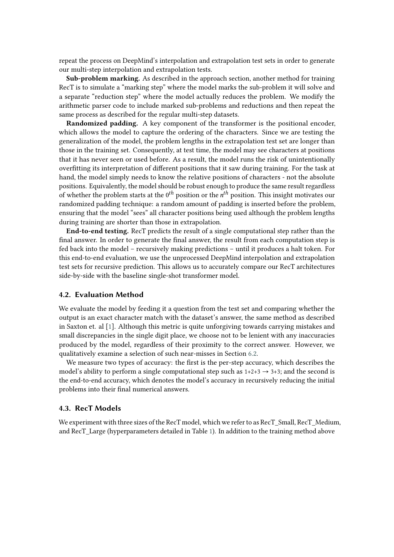repeat the process on DeepMind's interpolation and extrapolation test sets in order to generate our multi-step interpolation and extrapolation tests.

**Sub-problem marking.** As described in the approach section, another method for training RecT is to simulate a "marking step" where the model marks the sub-problem it will solve and a separate "reduction step" where the model actually reduces the problem. We modify the arithmetic parser code to include marked sub-problems and reductions and then repeat the same process as described for the regular multi-step datasets.

**Randomized padding.** A key component of the transformer is the positional encoder, which allows the model to capture the ordering of the characters. Since we are testing the generalization of the model, the problem lengths in the extrapolation test set are longer than those in the training set. Consequently, at test time, the model may see characters at positions that it has never seen or used before. As a result, the model runs the risk of unintentionally overfitting its interpretation of different positions that it saw during training. For the task at hand, the model simply needs to know the relative positions of characters - not the absolute positions. Equivalently, the model should be robust enough to produce the same result regardless of whether the problem starts at the  $0^{th}$  position or the  $n^{th}$  position. This insight motivates our randomized padding technique: a random amount of padding is inserted before the problem, ensuring that the model "sees" all character positions being used although the problem lengths during training are shorter than those in extrapolation.

**End-to-end testing.** RecT predicts the result of a single computational step rather than the final answer. In order to generate the final answer, the result from each computation step is fed back into the model – recursively making predictions – until it produces a halt token. For this end-to-end evaluation, we use the unprocessed DeepMind interpolation and extrapolation test sets for recursive prediction. This allows us to accurately compare our RecT architectures side-by-side with the baseline single-shot transformer model.

#### **4.2. Evaluation Method**

We evaluate the model by feeding it a question from the test set and comparing whether the output is an exact character match with the dataset's answer, the same method as described in Saxton et. al [\[1\]](#page-10-0). Although this metric is quite unforgiving towards carrying mistakes and small discrepancies in the single digit place, we choose not to be lenient with any inaccuracies produced by the model, regardless of their proximity to the correct answer. However, we qualitatively examine a selection of such near-misses in Section [6.2.](#page-7-1)

We measure two types of accuracy: the first is the per-step accuracy, which describes the model's ability to perform a single computational step such as  $1+2+3 \rightarrow 3+3$ ; and the second is the end-to-end accuracy, which denotes the model's accuracy in recursively reducing the initial problems into their final numerical answers.

### **4.3. RecT Models**

We experiment with three sizes of the RecT model, which we refer to as RecT Small, RecT Medium, and RecT\_Large (hyperparameters detailed in Table [1\)](#page-5-0). In addition to the training method above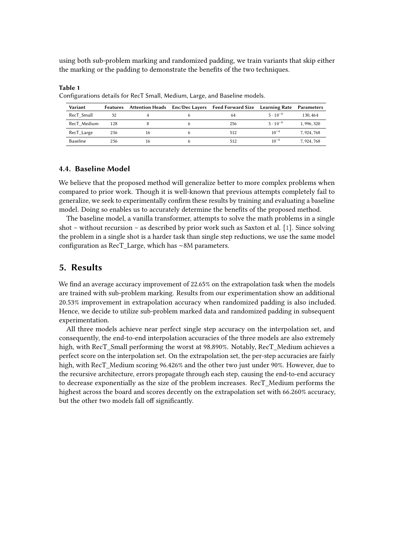using both sub-problem marking and randomized padding, we train variants that skip either the marking or the padding to demonstrate the benefits of the two techniques.

| Variant         | <b>Features</b> |    | Attention Heads Enc/Dec Layers Feed Forward Size Learning Rate |                   | <b>Parameters</b> |
|-----------------|-----------------|----|----------------------------------------------------------------|-------------------|-------------------|
| RecT Small      | 32              |    | 64                                                             | $5 \cdot 10^{-4}$ | 130, 464          |
| RecT Medium     | 128             |    | 256                                                            | $5 \cdot 10^{-4}$ | 1.996.320         |
| RecT Large      | 256             | 16 | 512                                                            | $10^{-4}$         | 7, 924, 768       |
| <b>Baseline</b> | 256             | 16 | 512                                                            | $10^{-9}$         | 7.924.768         |

Configurations details for RecT Small, Medium, Large, and Baseline models.

### **4.4. Baseline Model**

<span id="page-5-0"></span>**Table 1**

We believe that the proposed method will generalize better to more complex problems when compared to prior work. Though it is well-known that previous attempts completely fail to generalize, we seek to experimentally confirm these results by training and evaluating a baseline model. Doing so enables us to accurately determine the benefits of the proposed method.

The baseline model, a vanilla transformer, attempts to solve the math problems in a single shot – without recursion – as described by prior work such as Saxton et al. [\[1\]](#page-10-0). Since solving the problem in a single shot is a harder task than single step reductions, we use the same model configuration as RecT\_Large, which has ∼8M parameters.

## **5. Results**

We find an average accuracy improvement of 22.65% on the extrapolation task when the models are trained with sub-problem marking. Results from our experimentation show an additional 20.53% improvement in extrapolation accuracy when randomized padding is also included. Hence, we decide to utilize sub-problem marked data and randomized padding in subsequent experimentation.

All three models achieve near perfect single step accuracy on the interpolation set, and consequently, the end-to-end interpolation accuracies of the three models are also extremely high, with RecT Small performing the worst at 98.890%. Notably, RecT Medium achieves a perfect score on the interpolation set. On the extrapolation set, the per-step accuracies are fairly high, with RecT\_Medium scoring 96.426% and the other two just under 90%. However, due to the recursive architecture, errors propagate through each step, causing the end-to-end accuracy to decrease exponentially as the size of the problem increases. RecT\_Medium performs the highest across the board and scores decently on the extrapolation set with 66.260% accuracy, but the other two models fall off significantly.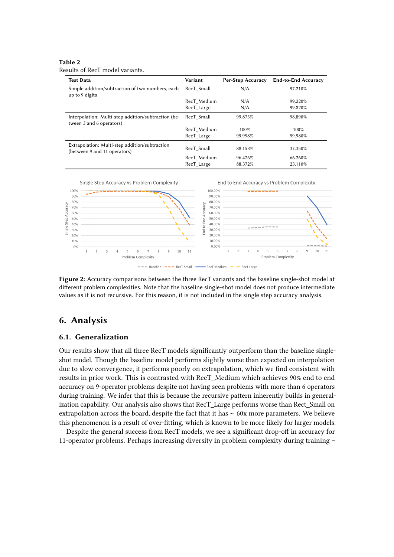#### **Table 2**

Results of RecT model variants.

| <b>Test Data</b>                                                                | Variant                   | Per-Step Accuracy  | <b>End-to-End Accuracy</b> |
|---------------------------------------------------------------------------------|---------------------------|--------------------|----------------------------|
| Simple addition/subtraction of two numbers, each<br>up to 9 digits              | RecT Small                | N/A                | 97.210%                    |
|                                                                                 | RecT Medium               | N/A                | 99.220%                    |
|                                                                                 | RecT Large                | N/A                | 99.820%                    |
| Interpolation: Multi-step addition/subtraction (be-<br>tween 3 and 6 operators) | RecT Small                | 99.875%            | 98.890%                    |
|                                                                                 | RecT Medium               | 100%               | 100%                       |
|                                                                                 | RecT Large                | 99.998%            | 99.980%                    |
| Extrapolation: Multi-step addition/subtraction<br>(between 9 and 11 operators)  | RecT Small                | 88.153%            | 37.350%                    |
|                                                                                 | RecT Medium<br>RecT Large | 96.426%<br>88.372% | 66.260%<br>23.110%         |



**Figure 2:** Accuracy comparisons between the three RecT variants and the baseline single-shot model at different problem complexities. Note that the baseline single-shot model does not produce intermediate values as it is not recursive. For this reason, it is not included in the single step accuracy analysis.

### **6. Analysis**

### **6.1. Generalization**

Our results show that all three RecT models significantly outperform than the baseline singleshot model. Though the baseline model performs slightly worse than expected on interpolation due to slow convergence, it performs poorly on extrapolation, which we find consistent with results in prior work. This is contrasted with RecT\_Medium which achieves 90% end to end accuracy on 9-operator problems despite not having seen problems with more than 6 operators during training. We infer that this is because the recursive pattern inherently builds in generalization capability. Our analysis also shows that RecT\_Large performs worse than Rect\_Small on extrapolation across the board, despite the fact that it has ∼ 60x more parameters. We believe this phenomenon is a result of over-fitting, which is known to be more likely for larger models.

Despite the general success from RecT models, we see a significant drop-off in accuracy for 11-operator problems. Perhaps increasing diversity in problem complexity during training –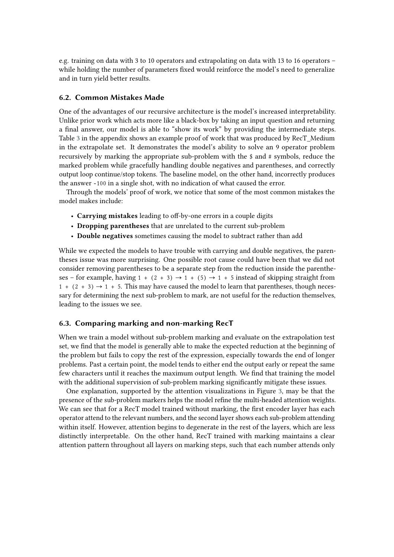e.g. training on data with 3 to 10 operators and extrapolating on data with 13 to 16 operators – while holding the number of parameters fixed would reinforce the model's need to generalize and in turn yield better results.

### <span id="page-7-1"></span>**6.2. Common Mistakes Made**

One of the advantages of our recursive architecture is the model's increased interpretability. Unlike prior work which acts more like a black-box by taking an input question and returning a final answer, our model is able to "show its work" by providing the intermediate steps. Table [3](#page-10-10) in the appendix shows an example proof of work that was produced by RecT\_Medium in the extrapolate set. It demonstrates the model's ability to solve an 9 operator problem recursively by marking the appropriate sub-problem with the \$ and # symbols, reduce the marked problem while gracefully handling double negatives and parentheses, and correctly output loop continue/stop tokens. The baseline model, on the other hand, incorrectly produces the answer -100 in a single shot, with no indication of what caused the error.

Through the models' proof of work, we notice that some of the most common mistakes the model makes include:

- **Carrying mistakes** leading to off-by-one errors in a couple digits
- **Dropping parentheses** that are unrelated to the current sub-problem
- **Double negatives** sometimes causing the model to subtract rather than add

While we expected the models to have trouble with carrying and double negatives, the parentheses issue was more surprising. One possible root cause could have been that we did not consider removing parentheses to be a separate step from the reduction inside the parentheses – for example, having  $1 + (2 + 3) \rightarrow 1 + (5) \rightarrow 1 + 5$  instead of skipping straight from  $1 + (2 + 3) \rightarrow 1 + 5$ . This may have caused the model to learn that parentheses, though necessary for determining the next sub-problem to mark, are not useful for the reduction themselves, leading to the issues we see.

### <span id="page-7-0"></span>**6.3. Comparing marking and non-marking RecT**

When we train a model without sub-problem marking and evaluate on the extrapolation test set, we find that the model is generally able to make the expected reduction at the beginning of the problem but fails to copy the rest of the expression, especially towards the end of longer problems. Past a certain point, the model tends to either end the output early or repeat the same few characters until it reaches the maximum output length. We find that training the model with the additional supervision of sub-problem marking significantly mitigate these issues.

One explanation, supported by the attention visualizations in Figure [3,](#page-8-0) may be that the presence of the sub-problem markers helps the model refine the multi-headed attention weights. We can see that for a RecT model trained without marking, the first encoder layer has each operator attend to the relevant numbers, and the second layer shows each sub-problem attending within itself. However, attention begins to degenerate in the rest of the layers, which are less distinctly interpretable. On the other hand, RecT trained with marking maintains a clear attention pattern throughout all layers on marking steps, such that each number attends only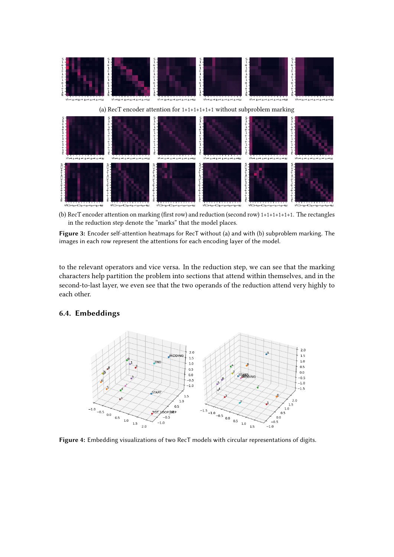<span id="page-8-0"></span>

(b) RecT encoder attention on marking (first row) and reduction (second row)  $1+1+1+1+1+1$ . The rectangles in the reduction step denote the "marks" that the model places.

**Figure 3:** Encoder self-attention heatmaps for RecT without (a) and with (b) subproblem marking. The images in each row represent the attentions for each encoding layer of the model.

to the relevant operators and vice versa. In the reduction step, we can see that the marking characters help partition the problem into sections that attend within themselves, and in the second-to-last layer, we even see that the two operands of the reduction attend very highly to each other.

### <span id="page-8-1"></span>**6.4. Embeddings**



**Figure 4:** Embedding visualizations of two RecT models with circular representations of digits.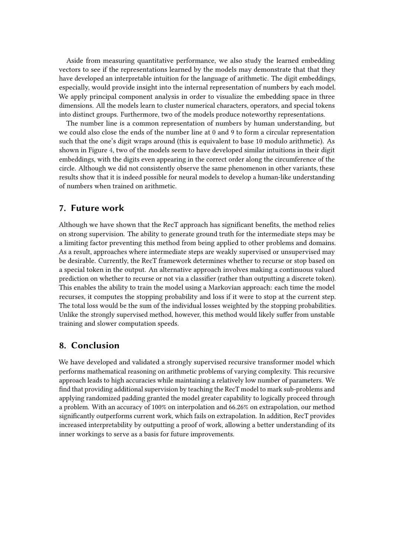Aside from measuring quantitative performance, we also study the learned embedding vectors to see if the representations learned by the models may demonstrate that that they have developed an interpretable intuition for the language of arithmetic. The digit embeddings, especially, would provide insight into the internal representation of numbers by each model. We apply principal component analysis in order to visualize the embedding space in three dimensions. All the models learn to cluster numerical characters, operators, and special tokens into distinct groups. Furthermore, two of the models produce noteworthy representations.

The number line is a common representation of numbers by human understanding, but we could also close the ends of the number line at 0 and 9 to form a circular representation such that the one's digit wraps around (this is equivalent to base 10 modulo arithmetic). As shown in Figure [4,](#page-8-1) two of the models seem to have developed similar intuitions in their digit embeddings, with the digits even appearing in the correct order along the circumference of the circle. Although we did not consistently observe the same phenomenon in other variants, these results show that it is indeed possible for neural models to develop a human-like understanding of numbers when trained on arithmetic.

### **7. Future work**

Although we have shown that the RecT approach has significant benefits, the method relies on strong supervision. The ability to generate ground truth for the intermediate steps may be a limiting factor preventing this method from being applied to other problems and domains. As a result, approaches where intermediate steps are weakly supervised or unsupervised may be desirable. Currently, the RecT framework determines whether to recurse or stop based on a special token in the output. An alternative approach involves making a continuous valued prediction on whether to recurse or not via a classifier (rather than outputting a discrete token). This enables the ability to train the model using a Markovian approach: each time the model recurses, it computes the stopping probability and loss if it were to stop at the current step. The total loss would be the sum of the individual losses weighted by the stopping probabilities. Unlike the strongly supervised method, however, this method would likely suffer from unstable training and slower computation speeds.

# **8. Conclusion**

We have developed and validated a strongly supervised recursive transformer model which performs mathematical reasoning on arithmetic problems of varying complexity. This recursive approach leads to high accuracies while maintaining a relatively low number of parameters. We find that providing additional supervision by teaching the RecT model to mark sub-problems and applying randomized padding granted the model greater capability to logically proceed through a problem. With an accuracy of 100% on interpolation and 66.26% on extrapolation, our method significantly outperforms current work, which fails on extrapolation. In addition, RecT provides increased interpretability by outputting a proof of work, allowing a better understanding of its inner workings to serve as a basis for future improvements.